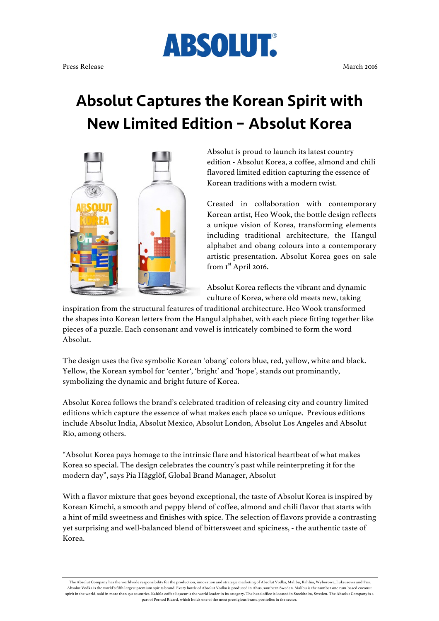## Absolut Captures the Korean Spirit with New Limited Edition – Absolut Korea

**ABSOLUT.** 



Absolut is proud to launch its latest country edition - Absolut Korea, a coffee, almond and chili flavored limited edition capturing the essence of Korean traditions with a modern twist.

Created in collaboration with contemporary Korean artist, Heo Wook, the bottle design reflects a unique vision of Korea, transforming elements including traditional architecture, the Hangul alphabet and obang colours into a contemporary artistic presentation. Absolut Korea goes on sale from I<sup>st</sup> April 2016.

Absolut Korea reflects the vibrant and dynamic culture of Korea, where old meets new, taking

inspiration from the structural features of traditional architecture. Heo Wook transformed the shapes into Korean letters from the Hangul alphabet, with each piece fitting together like pieces of a puzzle. Each consonant and vowel is intricately combined to form the word Absolut.

The design uses the five symbolic Korean 'obang' colors blue, red, yellow, white and black. Yellow, the Korean symbol for 'center', 'bright' and 'hope', stands out prominantly, symbolizing the dynamic and bright future of Korea.

Absolut Korea follows the brand's celebrated tradition of releasing city and country limited editions which capture the essence of what makes each place so unique. Previous editions include Absolut India, Absolut Mexico, Absolut London, Absolut Los Angeles and Absolut Rio, among others.

"Absolut Korea pays homage to the intrinsic flare and historical heartbeat of what makes Korea so special. The design celebrates the country's past while reinterpreting it for the modern day", says Pia Hägglöf, Global Brand Manager, Absolut

With a flavor mixture that goes beyond exceptional, the taste of Absolut Korea is inspired by Korean Kimchi, a smooth and peppy blend of coffee, almond and chili flavor that starts with a hint of mild sweetness and finishes with spice. The selection of flavors provide a contrasting yet surprising and well-balanced blend of bittersweet and spiciness, - the authentic taste of Korea.

The Absolut Company has the worldwide responsibility for the production, innovation and strategic marketing of Absolut Vodka, Malibu, Kahlúa, Wyborowa, Luksusowa and Frïs. Absolut Vodka is the world's fifth largest premium spirits brand. Every bottle of Absolut Vodka is produced in Åhus, southern Sweden. Malibu is the number one rum-based coconut spirit in the world, sold in more than 150 countries. Kahlúa coffee liqueur is the world leader in its category. The head office is located in Stockholm, Sweden. The Absolut Company is a part of Pernod Ricard, which holds one of the most prestigious brand portfolios in the sector.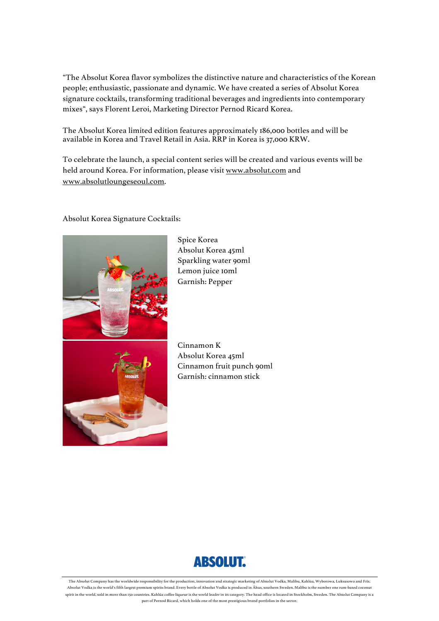"The Absolut Korea flavor symbolizes the distinctive nature and characteristics of the Korean people; enthusiastic, passionate and dynamic. We have created a series of Absolut Korea signature cocktails, transforming traditional beverages and ingredients into contemporary mixes", says Florent Leroi, Marketing Director Pernod Ricard Korea.

The Absolut Korea limited edition features approximately 186,000 bottles and will be available in Korea and Travel Retail in Asia. RRP in Korea is 37,000 KRW.

To celebrate the launch, a special content series will be created and various events will be held around Korea. For information, please visit www.absolut.com and www.absolutloungeseoul.com.

## Absolut Korea Signature Cocktails:



Spice Korea Absolut Korea 45ml Sparkling water 90ml Lemon juice 10ml Garnish: Pepper

Cinnamon K Absolut Korea 45ml Cinnamon fruit punch 90ml Garnish: cinnamon stick



The Absolut Company has the worldwide responsibility for the production, innovation and strategic marketing of Absolut Vodka, Malibu, Kahlúa, Wyborowa, Luksusowa and Frïs. Absolut Vodka is the world's fifth largest premium spirits brand. Every bottle of Absolut Vodka is produced in Åhus, southern Sweden. Malibu is the number one rum-based coconut spirit in the world, sold in more than 150 countries. Kahlúa coffee liqueur is the world leader in its category. The head office is located in Stockholm, Sweden. The Absolut Company is a part of Pernod Ricard, which holds one of the most prestigious brand portfolios in the sector.